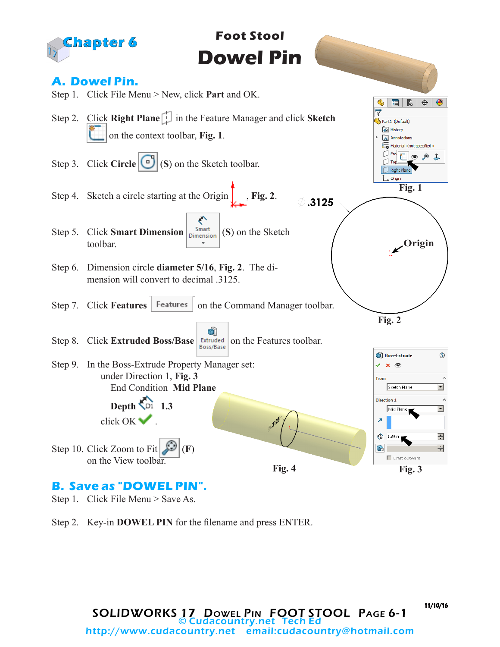

- Step 1. Click File Menu > Save As.
- Step 2. Key-in **DOWEL PIN** for the filename and press ENTER.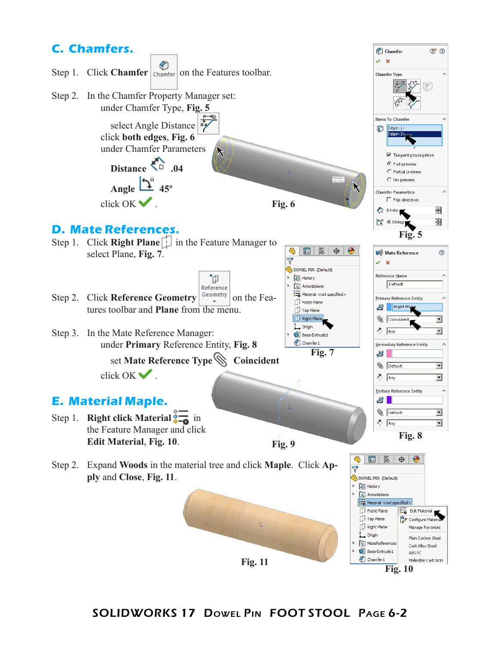

**Fig. 11 Fig. 10 Fig. 10** 

## SOLIDWORKS 17 Dowel Pin FOOT STOOL Page 6-2